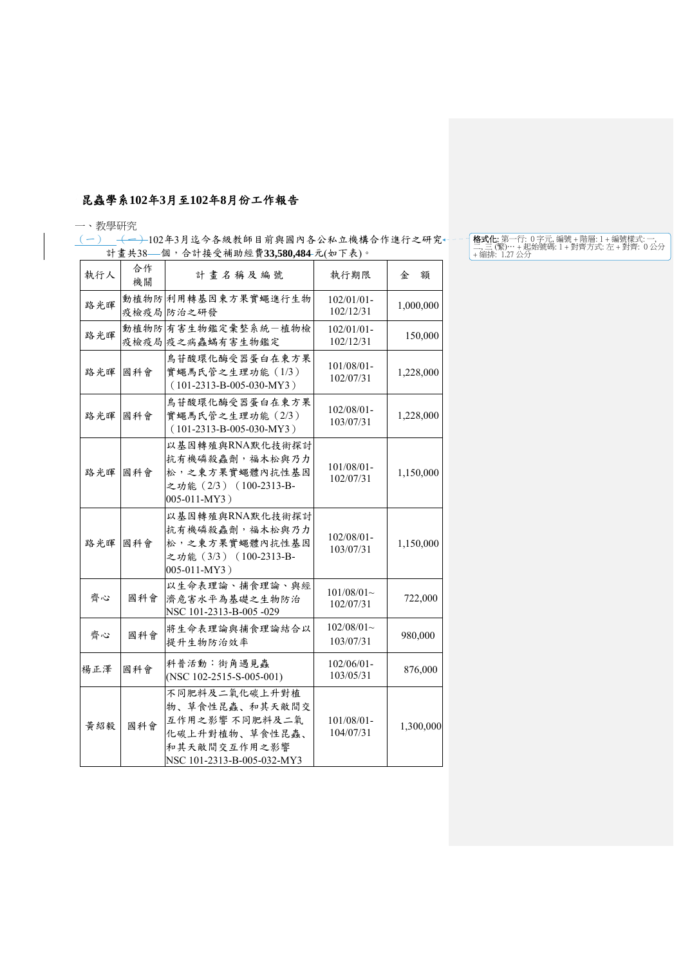## 昆蟲學系**102**年**3**月至**102**年**8**月份工作報告

## 一、教學研究

(一) ←→→102年3月迄今各級教師目前與國內各公私立機構合作進行之研究 計畫共38—個,合計接受補助經費33,580,484元(如下表)。

| 執行人 | 合作<br>機關 | 計畫名稱及編號                                                                                                           | 執行期限                       | 金<br>額    |
|-----|----------|-------------------------------------------------------------------------------------------------------------------|----------------------------|-----------|
| 路光暉 |          | 動植物防利用轉基因東方果實蠅進行生物<br>疫檢疫局防治之研發                                                                                   | 102/01/01-<br>102/12/31    | 1,000,000 |
| 路光暉 |          | 動植物防有害生物鑑定彙整系統一植物檢<br>疫檢疫局疫之病蟲蟎有害生物鑑定                                                                             | $102/01/01$ -<br>102/12/31 | 150,000   |
| 路光暉 | 國科會      | 鳥苷酸環化酶受器蛋白在東方果<br>實蠅馬氏管之生理功能 (1/3)<br>$(101-2313-B-005-030-MY3)$                                                  | 101/08/01-<br>102/07/31    | 1,228,000 |
| 路光暉 | 國科會      | 鳥苷酸環化酶受器蛋白在東方果<br>實蠅馬氏管之生理功能 (2/3)<br>$(101-2313-B-005-030-MY3)$                                                  | $102/08/01$ -<br>103/07/31 | 1,228,000 |
| 路光暉 | 國科會      | 以基因轉殖與RNA默化技術探討<br>抗有機磷殺蟲劑,福木松與乃力<br>松,之東方果實蠅體內抗性基因<br>之功能 (2/3) (100-2313-B-<br>005-011-MY3)                     | $101/08/01 -$<br>102/07/31 | 1,150,000 |
| 路光暉 | 國科會      | 以基因轉殖與RNA默化技術探討<br>抗有機磷殺蟲劑,福木松與乃力<br>松,之東方果實蠅體內抗性基因<br>之功能 (3/3) (100-2313-B-<br>005-011-MY3)                     | $102/08/01 -$<br>103/07/31 | 1,150,000 |
| 齊心  | 國科會      | 以生命表理論、捕食理論、與經<br>濟危害水平為基礎之生物防治<br>NSC 101-2313-B-005-029                                                         | $101/08/01$ ~<br>102/07/31 | 722,000   |
| 齊心  | 國科會      | 將生命表理論與捕食理論結合以<br>提升生物防治效率                                                                                        | $102/08/01$ ~<br>103/07/31 | 980,000   |
| 楊正澤 | 國科會      | 科普活動:街角遇見蟲<br>(NSC 102-2515-S-005-001)                                                                            | $102/06/01 -$<br>103/05/31 | 876,000   |
| 黄紹毅 | 國科會      | 不同肥料及二氧化碳上升對植<br>物、草食性昆蟲、和其天敵間交<br>互作用之影響 不同肥料及二氧<br>化碳上升對植物、草食性昆蟲、<br>和其天敵間交互作用之影響<br>NSC 101-2313-B-005-032-MY3 | 101/08/01-<br>104/07/31    | 1,300,000 |

**格式化:** 第一行: 0 字元, 編號 + 階層: 1 + 編號樣式: 一,<br>二, 三 (繁)… + 起始號碼: 1 + 對齊方式: 左 + 對齊: 0 公分<br>+ 縮排: 1.27 公分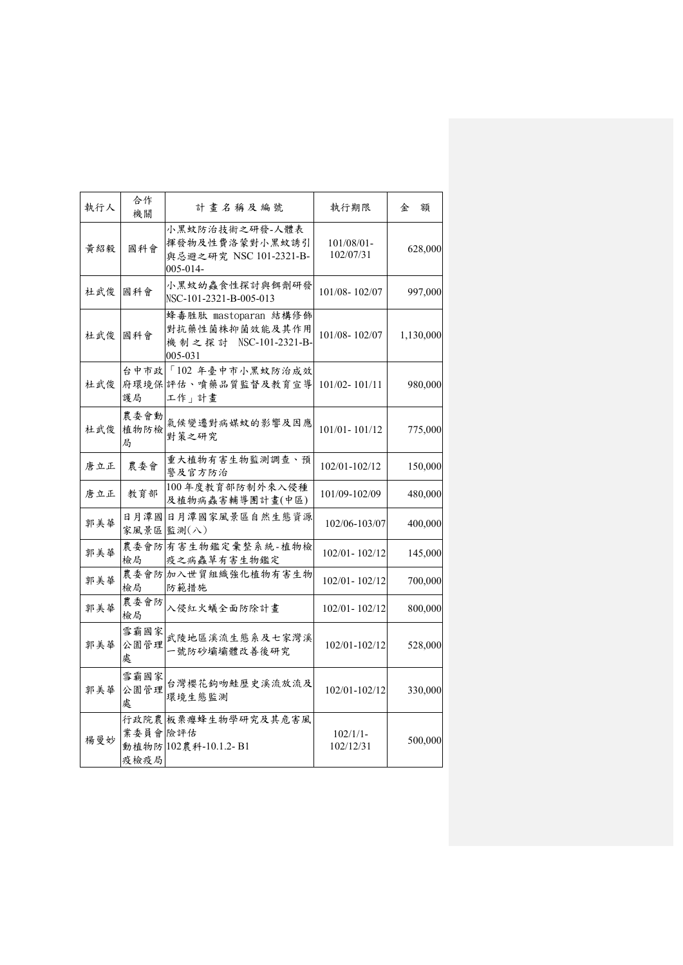| 執行人 | 合作<br>機關          | 計畫名稱及編號                                                                    | 執行期限                    | 額<br>金    |
|-----|-------------------|----------------------------------------------------------------------------|-------------------------|-----------|
| 黃紹毅 | 國科會               | 小黑蚊防治技術之研發-人體表<br>揮發物及性費洛蒙對小黑蚊誘引<br>與忌避之研究 NSC 101-2321-B-<br>005-014-     | 101/08/01-<br>102/07/31 | 628,000   |
| 杜武俊 | 國科會               | 小黑蚊幼蟲食性探討與餌劑研發<br>NSC-101-2321-B-005-013                                   | 101/08-102/07           | 997,000   |
| 杜武俊 | 國科會               | 蜂毒胜肽 mastoparan 結構修飾<br>對抗藥性菌株抑菌效能及其作用<br>機制之探討 NSC-101-2321-B-<br>005-031 | 101/08-102/07           | 1,130,000 |
| 杜武俊 | 護局                | 台中市政 「102年臺中市小黑蚊防治成效<br>府環境保評估、噴藥品質監督及教育宣導<br>工作」計畫                        | 101/02-101/11           | 980,000   |
| 杜武俊 | 農委會動<br>植物防檢<br>局 | 氣候變遷對病媒蚊的影響及因應<br>對策之研究                                                    | 101/01-101/12           | 775,000   |
| 唐立正 | 農委會               | 重大植物有害生物監測調查、預<br>警及官方防治                                                   | 102/01-102/12           | 150,000   |
| 唐立正 | 教育部               | 100年度教育部防制外來入侵種<br>及植物病蟲害輔導團計畫(中區)                                         | 101/09-102/09           | 480,000   |
| 郭美華 | 日月潭國              | 日月潭國家風景區自然生態資源<br>家風景區 監測(八)                                               | 102/06-103/07           | 400,000   |
| 郭美華 | 農委會防<br>檢局        | 有害生物鑑定彙整系統-植物檢<br>疫之病蟲草有害生物鑑定                                              | 102/01-102/12           | 145,000   |
| 郭美華 | 檢局                | 農委會防加入世貿組織強化植物有害生物<br>防範措施                                                 | 102/01-102/12           | 700,000   |
| 郭美華 | 農委會防<br>檢局        | 入侵紅火蟻全面防除計畫                                                                | 102/01-102/12           | 800,000   |
| 郭美華 | 雪霸國家<br>公園管理<br>處 | 武陵地區溪流生態系及七家灣溪<br>一號防砂壩壩體改善後研究                                             | 102/01-102/12           | 528,000   |
| 郭美華 | 雪霸國家<br>公園管理<br>處 | 台灣櫻花鉤吻鮭歷史溪流放流及<br>環境生態監測                                                   | 102/01-102/12           | 330,000   |
| 楊曼妙 | 業委員會險評估<br>疫檢疫局   | 行政院農板栗癭蜂生物學研究及其危害風<br>動植物防 102農科-10.1.2-B1                                 | $102/1/1-$<br>102/12/31 | 500,000   |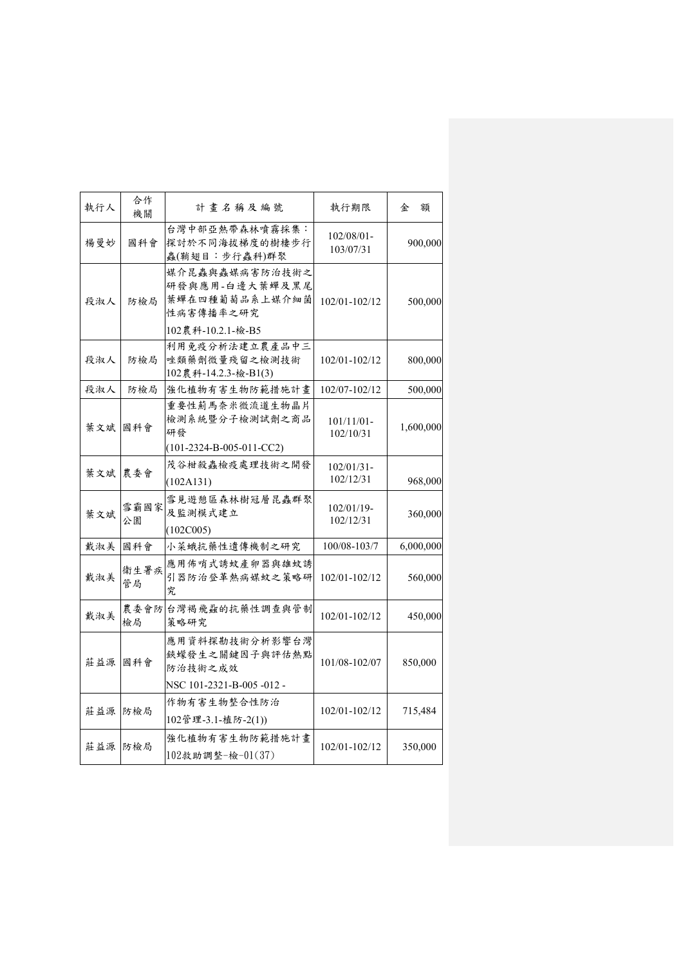| 執行人 | 合作<br>機關   | 計書名稱及編號                                                                              | 執行期限                       | 額<br>金    |
|-----|------------|--------------------------------------------------------------------------------------|----------------------------|-----------|
| 楊曼妙 | 國科會        | 台灣中部亞熱帶森林噴霧採集:<br>探討於不同海拔梯度的樹棲步行<br>蟲(鞘翅目:步行蟲科)群聚                                    | 102/08/01-<br>103/07/31    | 900,000   |
| 段淑人 | 防檢局        | 媒介昆蟲與蟲媒病害防治技術之<br>研發與應用-白邊大葉蟬及黑尾<br>葉蟬在四種葡萄品系上媒介細菌<br>性病害傳播率之研究<br>102農科-10.2.1-檢-B5 | 102/01-102/12              | 500,000   |
| 段淑人 | 防檢局        | 利用免疫分析法建立農產品中三<br>唑類藥劑微量殘留之檢測技術<br>102農科-14.2.3-檢-B1(3)                              | 102/01-102/12              | 800,000   |
| 段淑人 | 防檢局        | 強化植物有害生物防範措施計畫                                                                       | 102/07-102/12              | 500,000   |
| 葉文斌 | 國科會        | 重要性薊馬奈米微流道生物晶片<br>檢測系統暨分子檢測試劑之商品<br>研發                                               | $101/11/01 -$<br>102/10/31 | 1,600,000 |
|     |            | $(101-2324-B-005-011-CC2)$                                                           |                            |           |
| 葉文斌 | 農委會        | 茂谷柑殺蟲檢疫處理技術之開發<br>(102A131)                                                          | $102/01/31$ -<br>102/12/31 | 968,000   |
| 葉文斌 | 雪霸國家<br>公園 | 雪見遊憩區森林樹冠層昆蟲群聚<br>及監測模式建立<br>(102C005)                                               | 102/01/19-<br>102/12/31    | 360,000   |
| 戴淑美 | 國科會        | 小菜蛾抗藥性遺傳機制之研究                                                                        | 100/08-103/7               | 6,000,000 |
| 戴淑美 | 衛生署疾<br>管局 | 應用佈哨式誘蚊產卵器與雄蚊誘<br>引器防治登革熱病媒蚊之策略研<br>究.                                               | 102/01-102/12              | 560,000   |
| 戴淑美 | 農委會防<br>檢局 | 台灣褐飛蝨的抗藥性調查與管制<br>策略研究                                                               | 102/01-102/12              | 450,000   |
| 莊益源 | 國科會        | 應用資料探勘技術分析影響台灣<br>鋏蠓發生之關鍵因子與評估熱點<br>防治技術之成效<br>NSC 101-2321-B-005-012-               | 101/08-102/07              | 850,000   |
| 莊益源 | 防檢局        | 作物有害生物整合性防治<br>102管理-3.1-植防-2(1))                                                    | 102/01-102/12              | 715,484   |
| 莊益源 | 防檢局        | 強化植物有害生物防範措施計畫<br>102救助調整-檢-01(37)                                                   | 102/01-102/12              | 350,000   |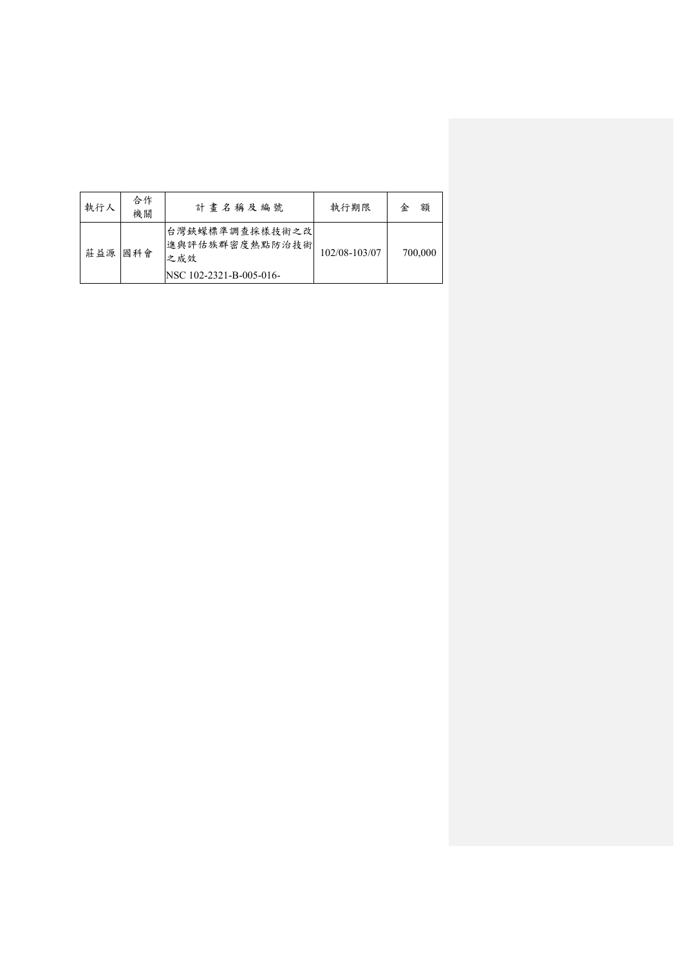| 執行人 | 合作<br>機關 | 計書名稱及編號                                                             | 執行期限          | 額<br>金  |
|-----|----------|---------------------------------------------------------------------|---------------|---------|
| 莊益源 | 國科會      | 台灣鋏蠓標準調查採樣技術之改<br>進與評估族群密度熱點防治技術 <br>之成效<br>NSC 102-2321-B-005-016- | 102/08-103/07 | 700,000 |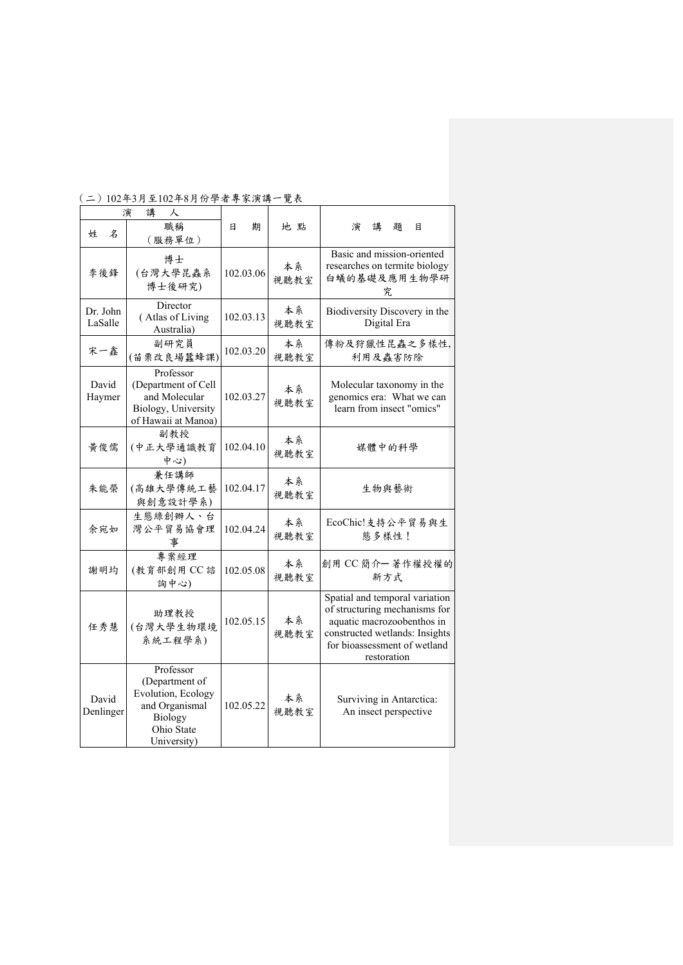| 講<br>演<br>人         |                                                                                                             |           |            |                                                                                                                                                                                |
|---------------------|-------------------------------------------------------------------------------------------------------------|-----------|------------|--------------------------------------------------------------------------------------------------------------------------------------------------------------------------------|
| 姓<br>名              | 職稱<br>(服務單位)                                                                                                | 期<br>日    | 地 點        | 講<br>題<br>演<br>目                                                                                                                                                               |
| 李後鋒                 | 博士<br>(台灣大學昆蟲系<br>博士後研究)                                                                                    | 102.03.06 | 本系<br>視聽教室 | Basic and mission-oriented<br>researches on termite biology<br>白蟻的基礎及應用生物學研<br>究                                                                                               |
| Dr. John<br>LaSalle | Director<br>(Atlas of Living<br>Australia)                                                                  | 102.03.13 | 本系<br>視聽教室 | Biodiversity Discovery in the<br>Digital Era                                                                                                                                   |
| 宋一鑫                 | 副研究員<br>(苗栗改良場蠶蜂課)                                                                                          | 102.03.20 | 本系<br>視聽教室 | 傳粉及狩獵性昆蟲之多樣性,<br>利用及蟲害防除                                                                                                                                                       |
| David<br>Haymer     | Professor<br>(Department of Cell)<br>and Molecular<br>Biology, University<br>of Hawaii at Manoa)            | 102.03.27 | 本系<br>視聽教室 | Molecular taxonomy in the<br>genomics era: What we can<br>learn from insect "omics"                                                                                            |
| 黃俊儒                 | 副教授<br>(中正大學通識教育<br>中心)                                                                                     | 102.04.10 | 本系<br>視聽教室 | 媒體中的科學                                                                                                                                                                         |
| 朱能榮                 | 兼任講師<br>(高雄大學傳統工藝<br>與創意設計學系)                                                                               | 102.04.17 | 本系<br>視聽教室 | 生物與藝術                                                                                                                                                                          |
| 余宛如                 | 生態綠創辦人、台<br>灣公平貿易協會理<br>事                                                                                   | 102.04.24 | 本系<br>視聽教室 | EcoChic!支持公平貿易與生<br>態多樣性!                                                                                                                                                      |
| 謝明均                 | 專案經理<br>(教育部創用 CC 諮<br>詢中心)                                                                                 | 102.05.08 | 本系<br>視聽教室 | 創用 CC 簡介一著作權授權的<br>新方式                                                                                                                                                         |
| 任秀慧                 | 助理教授<br>(台灣大學生物環境<br>系統工程學系)                                                                                | 102.05.15 | 本系<br>視聽教室 | Spatial and temporal variation<br>of structuring mechanisms for<br>aquatic macrozoobenthos in<br>constructed wetlands: Insights<br>for bioassessment of wetland<br>restoration |
| David<br>Denlinger  | Professor<br>(Department of<br>Evolution, Ecology<br>and Organismal<br>Biology<br>Ohio State<br>University) | 102.05.22 | 本系<br>視聽教室 | Surviving in Antarctica:<br>An insect perspective                                                                                                                              |

(二)102年3月至102年8月份學者專家演講一覽表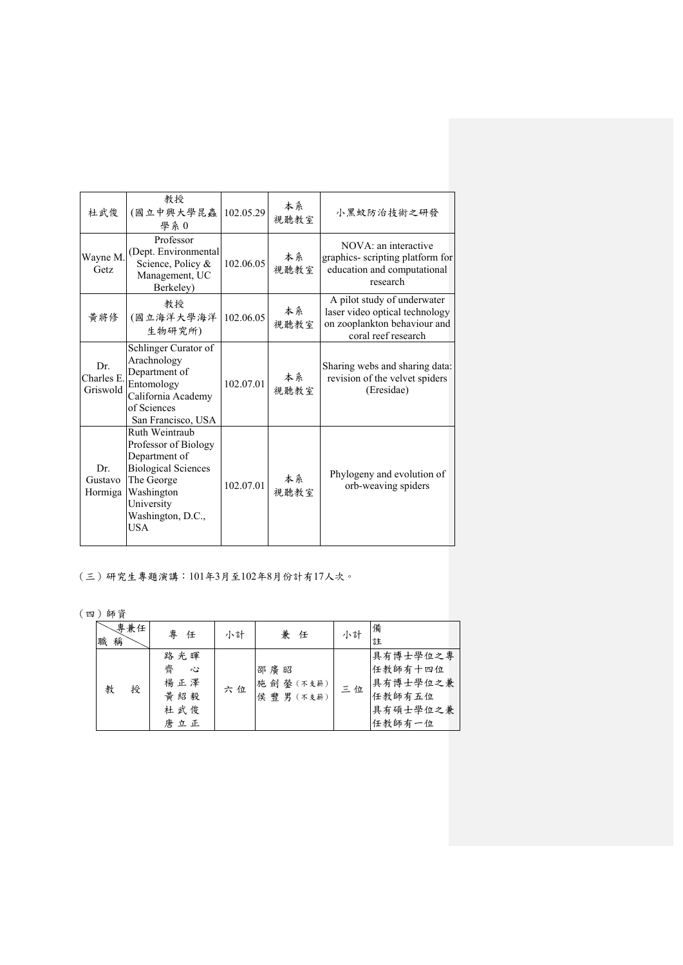| 杜武俊                           | 教授<br>(國立中興大學昆蟲<br>學系0                                                                                                                                      | 102.05.29 | 本系<br>視聽教室 | 小黑蚊防治技術之研發                                                                                                           |
|-------------------------------|-------------------------------------------------------------------------------------------------------------------------------------------------------------|-----------|------------|----------------------------------------------------------------------------------------------------------------------|
| Wayne M.<br>Getz              | Professor<br>(Dept. Environmental<br>Science, Policy &<br>Management, UC<br>Berkeley)                                                                       | 102.06.05 | 本系<br>視聽教室 | NOVA: an interactive<br>graphics- scripting platform for<br>education and computational<br>research                  |
| 黃將修                           | 教授<br>(國立海洋大學海洋<br>生物研究所)                                                                                                                                   | 102.06.05 | 本系<br>視聽教室 | A pilot study of underwater<br>laser video optical technology<br>on zooplankton behaviour and<br>coral reef research |
| Dr.<br>Charles E.<br>Griswold | Schlinger Curator of<br>Arachnology<br>Department of<br>Entomology<br>California Academy<br>of Sciences<br>San Francisco, USA                               | 102.07.01 | 本系<br>視聽教室 | Sharing webs and sharing data:<br>revision of the velvet spiders<br>(Eresidae)                                       |
| Dr.<br>Gustavo<br>Hormiga     | Ruth Weintraub<br>Professor of Biology<br>Department of<br><b>Biological Sciences</b><br>The George<br>Washington<br>University<br>Washington, D.C.,<br>USA | 102.07.01 | 本系<br>視聽教室 | Phylogeny and evolution of<br>orb-weaving spiders                                                                    |

(三)研究生專題演講:101年3月至102年8月份計有17人次。

(四)師資

| 專兼任<br>稱<br>職 | 專<br>任                                     | 小計 | 兼任                              | 小計 | 備<br>註                                                          |
|---------------|--------------------------------------------|----|---------------------------------|----|-----------------------------------------------------------------|
| 授<br>教        | 路光暉<br>齊<br>べこ<br>楊正澤<br>黄紹毅<br>杜武俊<br>唐立正 | 六位 | 邵廣昭<br>施劍 鎣 (不支薪)<br>侯 豐男 (不支薪) | 三位 | 具有博士學位之專<br>任教師有十四位<br>具有博士學位之兼<br>任教師有五位<br>具有碩士學位之兼<br>任教師有一位 |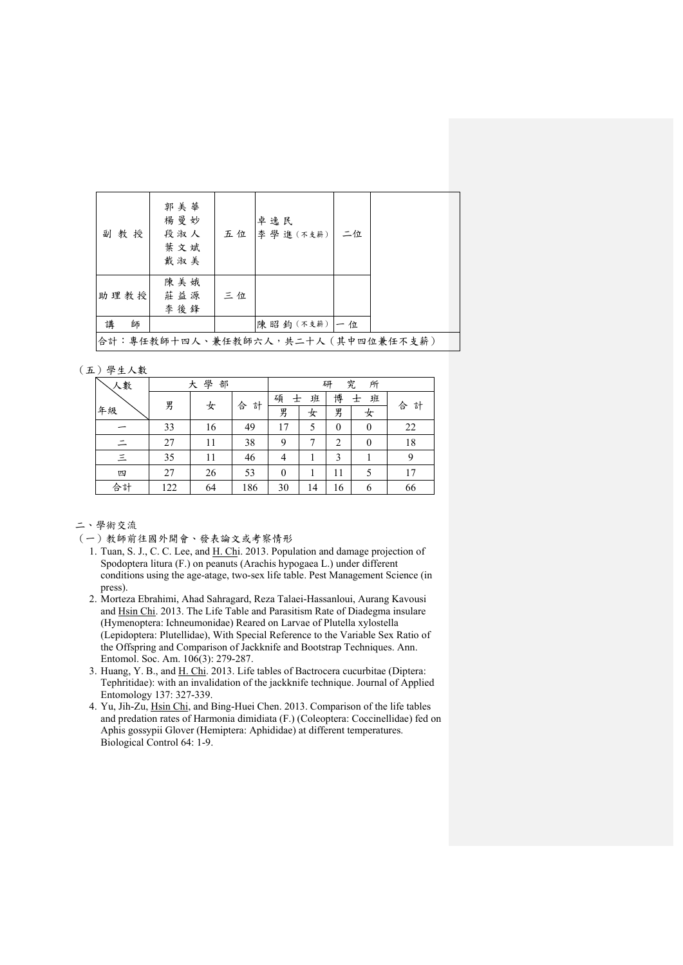| 副教授                               | 郭美華<br>楊曼妙<br>段淑人<br>葉文斌<br>戴淑美 | 五位 | 卓逸民<br>李 學進 (不支薪) | 二位 |  |  |  |
|-----------------------------------|---------------------------------|----|-------------------|----|--|--|--|
| 助理教授                              | 陳美娥<br>莊益源<br>李後鋒               | 三位 |                   |    |  |  |  |
| 講<br>師                            |                                 |    | 陳昭鈞(不支薪)一位        |    |  |  |  |
| 合計:專任教師十四人、兼任教師六人,共二十人(其中四位兼任不支薪) |                                 |    |                   |    |  |  |  |

(五)學生人數

| 人數       | 學<br>部<br>大 |    |        | 究<br>所<br>研  |    |                  |          |        |
|----------|-------------|----|--------|--------------|----|------------------|----------|--------|
|          | 男           |    |        | 碩<br>士       | 班  | 博                | 班<br>士   | 合<br>計 |
| 年級       |             | 女  | 合<br>計 | 男            | 女  | 男                | 女        |        |
|          | 33          | 16 | 49     | 17           | 5  | $\boldsymbol{0}$ | $\theta$ | 22     |
|          | 27          | 11 | 38     | 9            |    | $\overline{2}$   | $\theta$ | 18     |
| $\equiv$ | 35          | 11 | 46     | 4            |    | 3                |          | 9      |
| 四        | 27          | 26 | 53     | $\mathbf{0}$ |    | 11               | 5        | 17     |
| 合計       | 122         | 64 | 186    | 30           | 14 | 16               | 6        | 66     |

二、學術交流

- 1. Tuan, S. J., C. C. Lee, and H. Chi. 2013. Population and damage projection of Spodoptera litura (F.) on peanuts (Arachis hypogaea L.) under different conditions using the age-atage, two-sex life table. Pest Management Science (in press).
- 2. Morteza Ebrahimi, Ahad Sahragard, Reza Talaei-Hassanloui, Aurang Kavousi and Hsin Chi. 2013. The Life Table and Parasitism Rate of Diadegma insulare (Hymenoptera: Ichneumonidae) Reared on Larvae of Plutella xylostella (Lepidoptera: Plutellidae), With Special Reference to the Variable Sex Ratio of the Offspring and Comparison of Jackknife and Bootstrap Techniques. Ann. Entomol. Soc. Am. 106(3): 279-287.
- 3. Huang, Y. B., and H. Chi. 2013. Life tables of Bactrocera cucurbitae (Diptera: Tephritidae): with an invalidation of the jackknife technique. Journal of Applied Entomology 137: 327-339.
- 4. Yu, Jih-Zu, Hsin Chi, and Bing-Huei Chen. 2013. Comparison of the life tables and predation rates of Harmonia dimidiata (F.) (Coleoptera: Coccinellidae) fed on Aphis gossypii Glover (Hemiptera: Aphididae) at different temperatures. Biological Control 64: 1-9.

<sup>(</sup>一)教師前往國外開會、發表論文或考察情形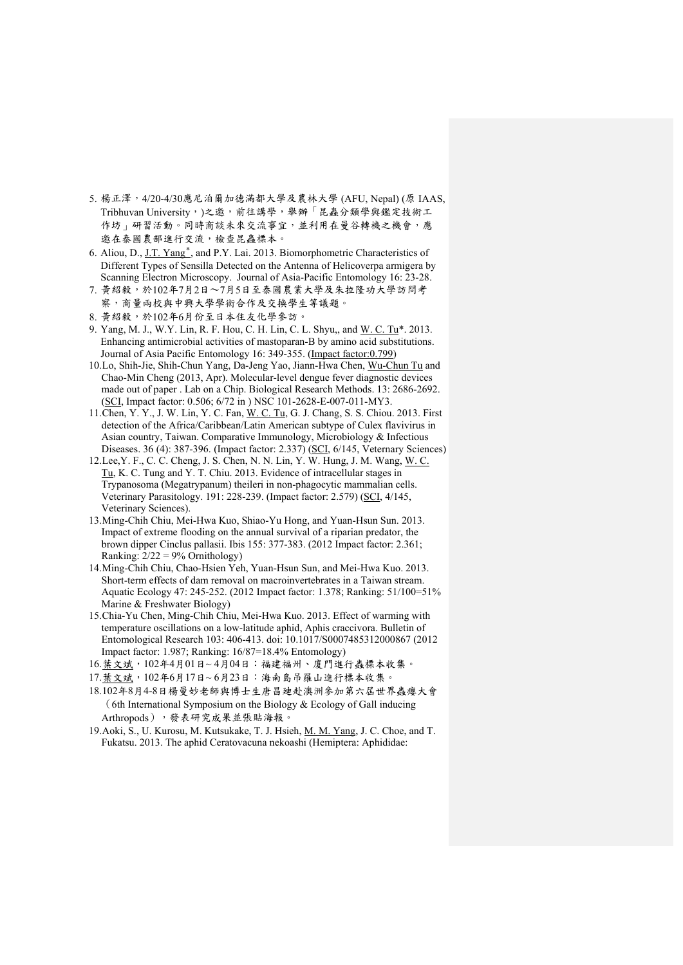- 5. 楊正澤,4/20-4/30應尼泊爾加德滿都大學及農林大學 (AFU, Nepal) (原 IAAS, Tribhuvan University,)之邀,前往講學,舉辦「昆蟲分類學與鑑定技術工 作坊」研習活動。同時商談未來交流事宜,並利用在曼谷轉機之機會,應 邀在泰國農部進行交流,檢查昆蟲標本。
- 6. Aliou, D., J.T. Yang<sup>\*</sup>, and P.Y. Lai. 2013. Biomorphometric Characteristics of Different Types of Sensilla Detected on the Antenna of Helicoverpa armigera by Scanning Electron Microscopy. Journal of Asia-Pacific Entomology 16: 23-28.
- 7. 黃紹毅,於102年7月2日~7月5日至泰國農業大學及朱拉隆功大學訪問考 察,商量兩校與中興大學學術合作及交換學生等議題。
- 8. 黃紹毅,於102年6月份至日本住友化學參訪。
- 9. Yang, M. J., W.Y. Lin, R. F. Hou, C. H. Lin, C. L. Shyu,, and W. C. Tu\*. 2013. Enhancing antimicrobial activities of mastoparan-B by amino acid substitutions. Journal of Asia Pacific Entomology 16: 349-355. (Impact factor:0.799)
- 10.Lo, Shih-Jie, Shih-Chun Yang, Da-Jeng Yao, Jiann-Hwa Chen, Wu-Chun Tu and Chao-Min Cheng (2013, Apr). Molecular-level dengue fever diagnostic devices made out of paper . Lab on a Chip. Biological Research Methods. 13: 2686-2692. (SCI, Impact factor: 0.506; 6/72 in ) NSC 101-2628-E-007-011-MY3.
- 11.Chen, Y. Y., J. W. Lin, Y. C. Fan, W. C. Tu, G. J. Chang, S. S. Chiou. 2013. First detection of the Africa/Caribbean/Latin American subtype of Culex flavivirus in Asian country, Taiwan. Comparative Immunology, Microbiology & Infectious Diseases. 36 (4): 387-396. (Impact factor: 2.337) (SCI, 6/145, Veternary Sciences)
- 12.Lee,Y. F., C. C. Cheng, J. S. Chen, N. N. Lin, Y. W. Hung, J. M. Wang, W. C. Tu, K. C. Tung and Y. T. Chiu. 2013. Evidence of intracellular stages in Trypanosoma (Megatrypanum) theileri in non-phagocytic mammalian cells. Veterinary Parasitology. 191: 228-239. (Impact factor: 2.579) (SCI, 4/145, Veterinary Sciences).
- 13.Ming-Chih Chiu, Mei-Hwa Kuo, Shiao-Yu Hong, and Yuan-Hsun Sun. 2013. Impact of extreme flooding on the annual survival of a riparian predator, the brown dipper Cinclus pallasii. Ibis 155: 377-383. (2012 Impact factor: 2.361; Ranking:  $2/22 = 9%$  Ornithology)
- 14.Ming-Chih Chiu, Chao-Hsien Yeh, Yuan-Hsun Sun, and Mei-Hwa Kuo. 2013. Short-term effects of dam removal on macroinvertebrates in a Taiwan stream. Aquatic Ecology 47: 245-252. (2012 Impact factor: 1.378; Ranking: 51/100=51% Marine & Freshwater Biology)
- 15.Chia-Yu Chen, Ming-Chih Chiu, Mei-Hwa Kuo. 2013. Effect of warming with temperature oscillations on a low-latitude aphid, Aphis craccivora. Bulletin of Entomological Research 103: 406-413. doi: 10.1017/S0007485312000867 (2012 Impact factor: 1.987; Ranking: 16/87=18.4% Entomology)
- 16.葉文斌,102年4月01日~ 4月04日:福建福州、廈門進行蟲標本收集。
- 17.葉文斌,102年6月17日~ 6月23日:海南島吊羅山進行標本收集。
- 18.102年8月4-8日楊曼妙老師與博士生唐昌廸赴澳洲參加第六屆世界蟲癭大會 (6th International Symposium on the Biology & Ecology of Gall inducing Arthropods),發表研究成果並張貼海報。
- 19.Aoki, S., U. Kurosu, M. Kutsukake, T. J. Hsieh, M. M. Yang, J. C. Choe, and T. Fukatsu. 2013. The aphid Ceratovacuna nekoashi (Hemiptera: Aphididae: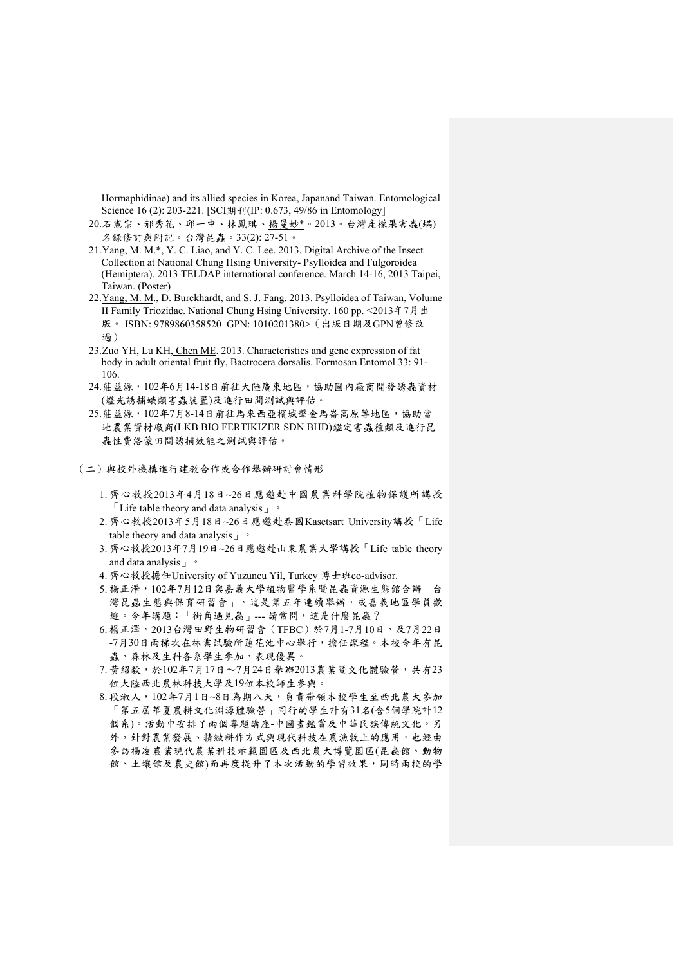Hormaphidinae) and its allied species in Korea, Japanand Taiwan. Entomological Science 16 (2): 203-221. [SCI期刊(IP: 0.673, 49/86 in Entomology]

- 20.石憲宗、郝秀花、邱一中、林鳳琪、楊曼妙\*。2013。台灣產檬果害蟲(蟎) 名錄修訂與附記。台灣昆蟲。33(2): 27-51。
- 21.Yang, M. M.\*, Y. C. Liao, and Y. C. Lee. 2013. Digital Archive of the Insect Collection at National Chung Hsing University- Psylloidea and Fulgoroidea (Hemiptera). 2013 TELDAP international conference. March 14-16, 2013 Taipei, Taiwan. (Poster)
- 22.Yang, M. M., D. Burckhardt, and S. J. Fang. 2013. Psylloidea of Taiwan, Volume II Family Triozidae. National Chung Hsing University. 160 pp. <2013年7月出 版。 ISBN: 9789860358520 GPN: 1010201380>(出版日期及GPN曾修改 過)
- 23.Zuo YH, Lu KH, Chen ME. 2013. Characteristics and gene expression of fat body in adult oriental fruit fly, Bactrocera dorsalis. Formosan Entomol 33: 91- 106.
- 24.莊益源,102年6月14-18日前往大陸廣東地區,協助國內廠商開發誘蟲資材 (燈光誘捕蛾類害蟲裝置)及進行田間測試與評估。
- 25.莊益源,102年7月8-14日前往馬來西亞檳城擊金馬崙高原等地區,協助當 地農業資材廠商(LKB BIO FERTIKIZER SDN BHD)鑑定害蟲種類及進行昆 蟲性費洛蒙田間誘捕效能之測試與評估。
- (二)與校外機構進行建教合作或合作舉辦研討會情形
	- 1. 齊心教授2013年4月18日~26日應邀赴中國農業科學院植物保護所講授  $\ulcorner$  Life table theory and data analysis  $\lrcorner$   $\lrcorner$
	- 2. 齊心教授2013年5月18日~26日應邀赴泰國Kasetsart University講授「Life table theory and data analysis」。
	- 3. 齊心教授2013年7月19日~26日應邀赴山東農業大學講授「Life table theory and data analysis」。
	- 4. 齊心教授擔任University of Yuzuncu Yil, Turkey 博士班co-advisor.
	- 5. 楊正澤,102年7月12日與嘉義大學植物醫學系暨昆蟲資源生態館合辦「台 灣昆蟲生態與保育研習會」,這是第五年連續舉辦,或嘉義地區學員歡 迎。今年講題:「街角遇見蟲」--- 請常問,這是什麼昆蟲?
	- $6.$  楊正澤,  $2013$ 台灣田野生物研習會 (TFBC)於7月1-7月10日, 及7月22日 -7月30日兩梯次在林業試驗所蓮花池中心舉行,擔任課程。本校今年有昆 蟲,森林及生科各系學生參加,表現優異。
	- $7.$  黃紹毅,於102年7月17日~7月24日舉辦2013農業暨文化體驗營,共有23 位大陸西北農林科技大學及19位本校師生參與。
	- 8. 段淑人,102年7月1日~8日為期八天,負責帶領本校學生至西北農大參加 「第五屆華夏農耕文化淵源體驗營」同行的學生計有31名(含5個學院計12 個系)。活動中安排了兩個專題講座-中國畫鑑賞及中華民族傳統文化。另 外,針對農業發展、精緻耕作方式與現代科技在農漁牧上的應用,也經由 參訪楊凌農業現代農業科技示範園區及西北農大博覽園區(昆蟲館、動物 館、土壤館及農史館)而再度提升了本次活動的學習效果,同時兩校的學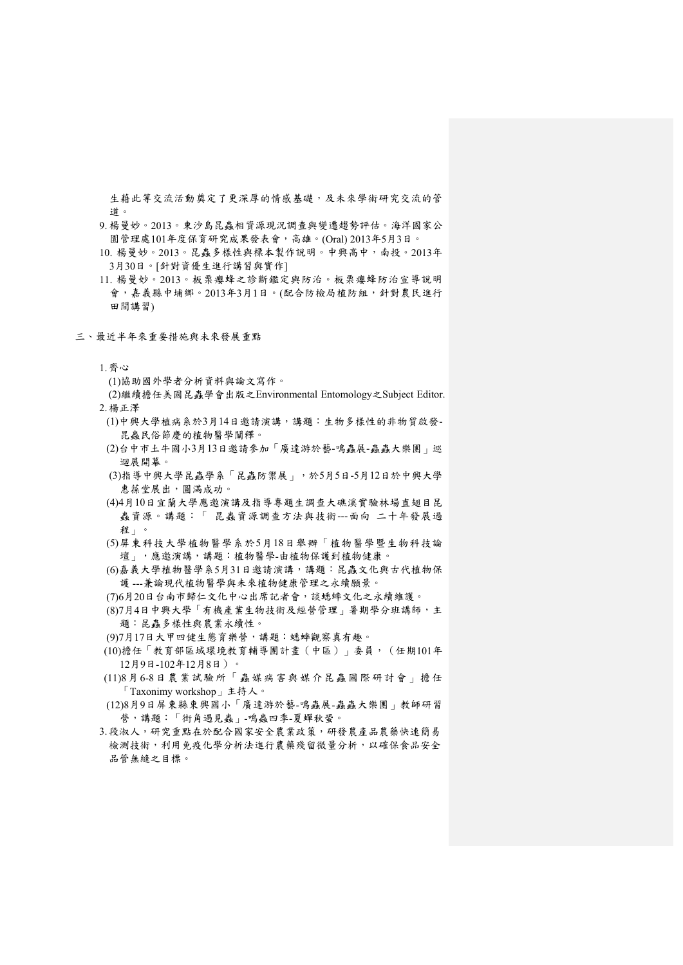生藉此等交流活動奠定了更深厚的情感基礎,及未來學術研究交流的管 道。

- 9. 楊曼妙。2013。東沙島昆蟲相資源現況調查與變遷趨勢評估。海洋國家公 園管理處101年度保育研究成果發表會,高雄。(Oral) 2013年5月3日。
- 10. 楊曼妙。2013。昆蟲多樣性與標本製作說明。中興高中,南投。2013年 3月30日。[針對資優生進行講習與實作]
- 11. 楊曼妙。2013。板栗癭蜂之診斷鑑定與防治。板栗癭蜂防治宣導說明 會,嘉義縣中埔鄉。2013年3月1日。(配合防檢局植防組,針對農民進行 田間講習)
- 三、最近半年來重要措施與未來發展重點
	- 1.齊心
		- (1)協助國外學者分析資料與論文寫作。

(2)繼續擔任美國昆蟲學會出版之Environmental Entomology之Subject Editor. 2.楊正澤

- - (1)中興大學植病系於3月14日邀請演講,講題:生物多樣性的非物質啟發-昆蟲民俗節慶的植物醫學闡釋。
	- (2)台中市土牛國小3月13日邀請參加「廣達游於藝-鳴蟲展-蟲蟲大樂團」巡 迴展開幕。
	- (3)指導中興大學昆蟲學系「昆蟲防禦展」,於5月5日-5月12日於中興大學 惠蓀堂展出,圓滿成功。
	- (4)4月10日宜蘭大學應邀演講及指導專題生調查大礁溪實驗林場直翅目昆 蟲資源。講題:「 昆蟲資源調查方法與技術---面向 二十年發展過 程」。
	- (5)屏東科技大學植物醫學系於5月18日舉辦「植物醫學暨生物科技論 壇」,應邀演講,講題:植物醫學-由植物保護到植物健康。
	- (6)嘉義大學植物醫學系5月31日邀請演講,講題:昆蟲文化與古代植物保 護 ---兼論現代植物醫學與未來植物健康管理之永續願景。
	- (7)6月20日台南市歸仁文化中心出席記者會,談蟋蟀文化之永續維護。
	- (8)7月4日中興大學「有機產業生物技術及經營管理」暑期學分班講師,主 題:昆蟲多樣性與農業永續性。
	- (9)7月17日大甲四健生態育樂營,講題:蟋蟀觀察真有趣。
- (10)擔任「教育部區域環境教育輔導團計畫(中區)」委員,(任期101年 12月9日-102年12月8日)。
- (11)8月6-8 日農業試驗所「蟲媒病害與媒介昆蟲國際研討會」擔任 「Taxonimy workshop」主持人。
- (12)8月9日屏東縣東興國小「廣達游於藝-鳴蟲展-蟲蟲大樂團」教師研習 營,講題:「街角遇見蟲」-鳴蟲四季-夏蟬秋蛩。
- 3.段淑人,研究重點在於配合國家安全農業政策,研發農產品農藥快速簡易 檢測技術,利用免疫化學分析法進行農藥殘留微量分析,以確保食品安全 品管無縫之目標。